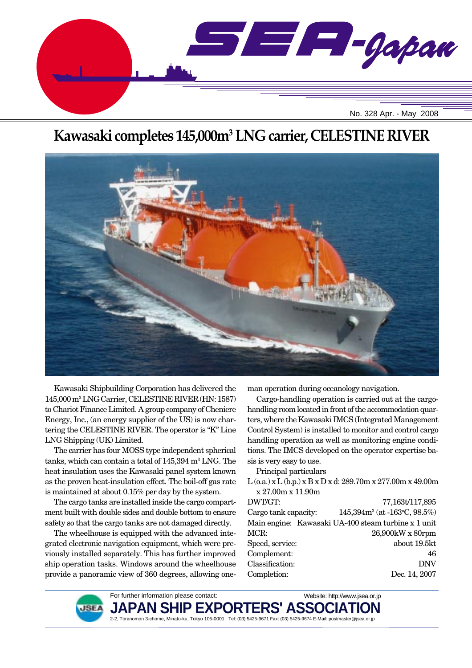

# **Kawasaki completes 145,000m3 LNG carrier, CELESTINE RIVER**



Kawasaki Shipbuilding Corporation has delivered the 145,000 m3 LNG Carrier, CELESTINE RIVER (HN: 1587) to Chariot Finance Limited. A group company of Cheniere Energy, Inc., (an energy supplier of the US) is now chartering the CELESTINE RIVER. The operator is "K" Line LNG Shipping (UK) Limited.

The carrier has four MOSS type independent spherical tanks, which can contain a total of 145,394 m<sup>3</sup> LNG. The heat insulation uses the Kawasaki panel system known as the proven heat-insulation effect. The boil-off gas rate is maintained at about 0.15% per day by the system.

The cargo tanks are installed inside the cargo compartment built with double sides and double bottom to ensure safety so that the cargo tanks are not damaged directly.

The wheelhouse is equipped with the advanced integrated electronic navigation equipment, which were previously installed separately. This has further improved ship operation tasks. Windows around the wheelhouse provide a panoramic view of 360 degrees, allowing oneman operation during oceanology navigation.

Cargo-handling operation is carried out at the cargohandling room located in front of the accommodation quarters, where the Kawasaki IMCS (Integrated Management Control System) is installed to monitor and control cargo handling operation as well as monitoring engine conditions. The IMCS developed on the operator expertise basis is very easy to use.

Principal particulars

L (o.a.) x L (b.p.) x B x D x d: 289.70m x 277.00m x 49.00m x 27.00m x 11.90m DWT/GT: 77,163t/117,895 Cargo tank capacity:  $(at -163°C, 98.5%)$ Main engine: Kawasaki UA-400 steam turbine x 1 unit

| 26,900kW x 80rpm |
|------------------|
| about 19.5kt     |
| 46               |
| <b>DNV</b>       |
| Dec. 14, 2007    |
|                  |



For further information please contact: **JAPAN SHIP EXPORTERS' ASSO** 2-2, Toranomon 3-chome, Minato-ku, Tokyo 105-0001 Tel: (03) 5425-9671 Fax: (03) 5425-9674 E-Mail: postmaster@jsea.or.jp Website: http://www.jsea.or.jp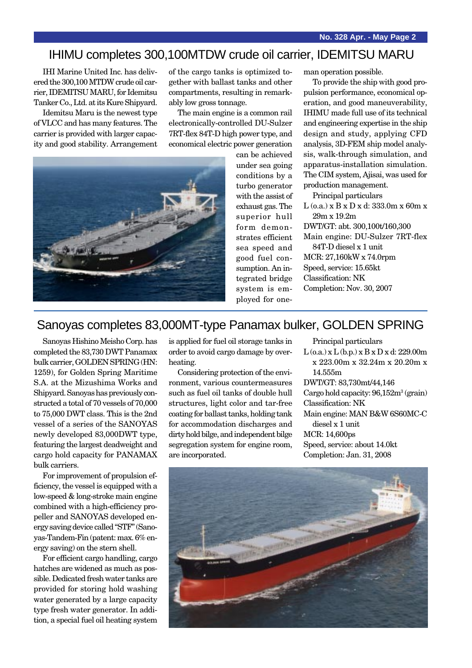### IHIMU completes 300,100MTDW crude oil carrier, IDEMITSU MARU

IHI Marine United Inc. has delivered the 300,100 MTDW crude oil carrier, IDEMITSU MARU, for Idemitsu Tanker Co., Ltd. at its Kure Shipyard.

Idemitsu Maru is the newest type of VLCC and has many features. The carrier is provided with larger capacity and good stability. Arrangement of the cargo tanks is optimized together with ballast tanks and other compartments, resulting in remarkably low gross tonnage.

The main engine is a common rail electronically-controlled DU-Sulzer 7RT-flex 84T-D high power type, and economical electric power generation



can be achieved under sea going conditions by a turbo generator with the assist of exhaust gas. The superior hull form demonstrates efficient sea speed and good fuel consumption. An integrated bridge system is employed for oneman operation possible.

To provide the ship with good propulsion performance, economical operation, and good maneuverability, IHIMU made full use of its technical and engineering expertise in the ship design and study, applying CFD analysis, 3D-FEM ship model analysis, walk-through simulation, and apparatus-installation simulation. The CIM system, Ajisai, was used for production management.

Principal particulars

- L (o.a.) x B x D x d: 333.0m x 60m x 29m x 19.2m
- DWT/GT: abt. 300,100t/160,300
- Main engine: DU-Sulzer 7RT-flex 84T-D diesel x 1 unit MCR: 27,160kW x 74.0rpm Speed, service: 15.65kt Classification: NK

Completion: Nov. 30, 2007

### Sanoyas completes 83,000MT-type Panamax bulker, GOLDEN SPRING

Sanoyas Hishino Meisho Corp. has completed the 83,730 DWT Panamax bulk carrier, GOLDEN SPRING (HN: 1259), for Golden Spring Maritime S.A. at the Mizushima Works and Shipyard. Sanoyas has previously constructed a total of 70 vessels of 70,000 to 75,000 DWT class. This is the 2nd vessel of a series of the SANOYAS newly developed 83,000DWT type, featuring the largest deadweight and cargo hold capacity for PANAMAX bulk carriers.

For improvement of propulsion efficiency, the vessel is equipped with a low-speed & long-stroke main engine combined with a high-efficiency propeller and SANOYAS developed energy saving device called "STF" (Sanoyas-Tandem-Fin (patent: max. 6% energy saving) on the stern shell.

For efficient cargo handling, cargo hatches are widened as much as possible. Dedicated fresh water tanks are provided for storing hold washing water generated by a large capacity type fresh water generator. In addition, a special fuel oil heating system

is applied for fuel oil storage tanks in order to avoid cargo damage by overheating.

Considering protection of the environment, various countermeasures such as fuel oil tanks of double hull structures, light color and tar-free coating for ballast tanks, holding tank for accommodation discharges and dirty hold bilge, and independent bilge segregation system for engine room, are incorporated.

Principal particulars  $L$  (o.a.) x  $L$  (b.p.) x  $B$  x  $D$  x d: 229.00m x 223.00m x 32.24m x 20.20m x 14.555m DWT/GT: 83,730mt/44,146 Cargo hold capacity:  $96,152m^3$  (grain) Classification: NK Main engine: MAN B&W 6S60MC-C diesel x 1 unit MCR: 14,600ps Speed, service: about 14.0kt

Completion: Jan. 31, 2008

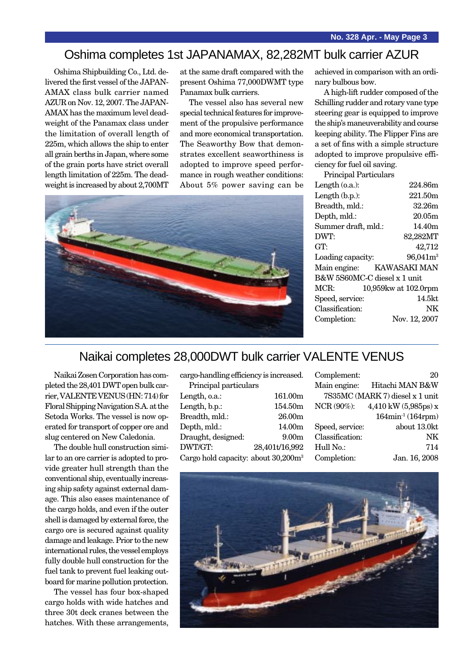# Oshima completes 1st JAPANAMAX, 82,282MT bulk carrier AZUR

Oshima Shipbuilding Co., Ltd. delivered the first vessel of the JAPAN-AMAX class bulk carrier named AZUR on Nov. 12, 2007. The JAPAN-AMAX has the maximum level deadweight of the Panamax class under the limitation of overall length of 225m, which allows the ship to enter all grain berths in Japan, where some of the grain ports have strict overall length limitation of 225m. The deadweight is increased by about 2,700MT

at the same draft compared with the present Oshima 77,000DWMT type Panamax bulk carriers.

The vessel also has several new special technical features for improvement of the propulsive performance and more economical transportation. The Seaworthy Bow that demonstrates excellent seaworthiness is adopted to improve speed performance in rough weather conditions: About 5% power saving can be



achieved in comparison with an ordinary bulbous bow.

A high-lift rudder composed of the Schilling rudder and rotary vane type steering gear is equipped to improve the ship's maneuverability and course keeping ability. The Flipper Fins are a set of fins with a simple structure adopted to improve propulsive efficiency for fuel oil saving.

Principal Particulars

| Length $(0.a.)$ :   | 224.86m                      |
|---------------------|------------------------------|
| Length $(b.p.):$    | 221.50m                      |
| Breadth, mld.:      | 32.26m                       |
| Depth, mld.:        | 20.05m                       |
| Summer draft, mld.: | 14.40m                       |
| DWT:                | 82,282MT                     |
| GT:                 | 42,712                       |
| Loading capacity:   | $96,041m^3$                  |
|                     | Main engine: KAWASAKI MAN    |
|                     | B&W 5S60MC-C diesel x 1 unit |
| MCR:                | 10,959 kw at 102.0 rpm       |
| Speed, service:     | 14.5 <sub>kt</sub>           |
| Classification:     | NK                           |
| Completion:         | Nov. 12, 2007                |
|                     |                              |

### Naikai completes 28,000DWT bulk carrier VALENTE VENUS

Naikai Zosen Corporation has completed the 28,401 DWT open bulk carrier, VALENTE VENUS (HN: 714) for Floral Shipping Navigation S.A. at the Setoda Works. The vessel is now operated for transport of copper ore and slug centered on New Caledonia.

The double hull construction similar to an ore carrier is adopted to provide greater hull strength than the conventional ship, eventually increasing ship safety against external damage. This also eases maintenance of the cargo holds, and even if the outer shell is damaged by external force, the cargo ore is secured against quality damage and leakage. Prior to the new international rules, the vessel employs fully double hull construction for the fuel tank to prevent fuel leaking outboard for marine pollution protection.

The vessel has four box-shaped cargo holds with wide hatches and three 30t deck cranes between the hatches. With these arrangements,

| cargo-handling efficiency is increased.         |                   |  |
|-------------------------------------------------|-------------------|--|
| Principal particulars                           |                   |  |
| Length, o.a.:                                   | 161.00m           |  |
| Length, b.p.:                                   | 154.50m           |  |
| Breadth, mld.:                                  | 26.00m            |  |
| Depth, mld.:                                    | 14.00m            |  |
| Draught, designed:                              | 9.00 <sub>m</sub> |  |
| DWT/GT:                                         | 28,401t/16,992    |  |
| Cargo hold capacity: about 30,200m <sup>3</sup> |                   |  |

Complement: 20 Main engine: Hitachi MAN B&W 7S35MC (MARK 7) diesel x 1 unit NCR (90%): 4,410 kW (5,985ps) x 164min-1 (164rpm) Speed, service: about 13.0kt Classification: NK Hull No.: 714 Completion: Jan. 16, 2008

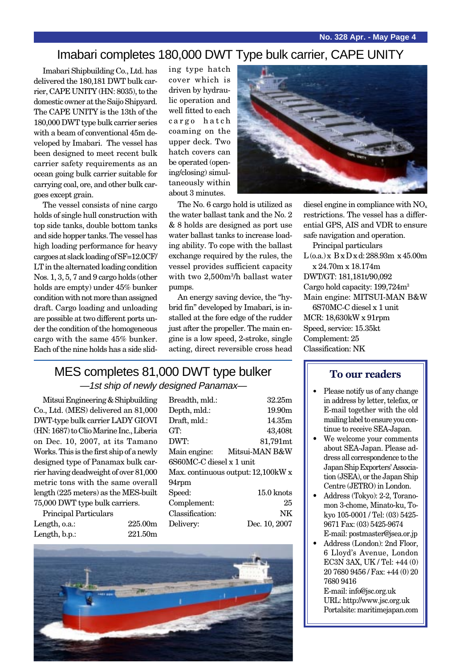## Imabari completes 180,000 DWT Type bulk carrier, CAPE UNITY

Imabari Shipbuilding Co., Ltd. has delivered the 180,181 DWT bulk carrier, CAPE UNITY (HN: 8035), to the domestic owner at the Saijo Shipyard. The CAPE UNITY is the 13th of the 180,000 DWT type bulk carrier series with a beam of conventional 45m developed by Imabari. The vessel has been designed to meet recent bulk carrier safety requirements as an ocean going bulk carrier suitable for carrying coal, ore, and other bulk cargoes except grain.

The vessel consists of nine cargo holds of single hull construction with top side tanks, double bottom tanks and side hopper tanks. The vessel has high loading performance for heavy cargoes at slack loading of SF=12.0CF/ LT in the alternated loading condition Nos. 1, 3, 5, 7 and 9 cargo holds (other holds are empty) under 45% bunker condition with not more than assigned draft. Cargo loading and unloading are possible at two different ports under the condition of the homogeneous cargo with the same 45% bunker. Each of the nine holds has a side sliding type hatch cover which is driven by hydraulic operation and well fitted to each cargo hatch coaming on the upper deck. Two hatch covers can be operated (opening/closing) simultaneously within about 3 minutes.



The No. 6 cargo hold is utilized as the water ballast tank and the No. 2 & 8 holds are designed as port use water ballast tanks to increase loading ability. To cope with the ballast exchange required by the rules, the vessel provides sufficient capacity with two 2,500m3 /h ballast water pumps.

An energy saving device, the "hybrid fin" developed by Imabari, is installed at the fore edge of the rudder just after the propeller. The main engine is a low speed, 2-stroke, single acting, direct reversible cross head

diesel engine in compliance with  $NO<sub>x</sub>$ restrictions. The vessel has a differential GPS, AIS and VDR to ensure safe navigation and operation.

Principal particulars L (o.a.) x B x D x d: 288.93m x 45.00m x 24.70m x 18.174m DWT/GT: 181,181t/90,092 Cargo hold capacity: 199,724m3 Main engine: MITSUI-MAN B&W 6S70MC-C diesel x 1 unit MCR: 18,630kW x 91rpm Speed, service: 15.35kt Complement: 25 Classification: NK

## MES completes 81,000 DWT type bulker —1st ship of newly designed Panamax—

Mitsui Engineering & Shipbuilding Co., Ltd. (MES) delivered an 81,000 DWT-type bulk carrier LADY GIOVI (HN: 1687) to Clio Marine Inc., Liberia on Dec. 10, 2007, at its Tamano Works. This is the first ship of a newly designed type of Panamax bulk carrier having deadweight of over 81,000 metric tons with the same overall length (225 meters) as the MES-built 75,000 DWT type bulk carriers.

Length, o.a.: 225.00m Length, b.p.: 221.50m

Principal Particulars

| Breadth, mld.:                     | 32.25m         |  |
|------------------------------------|----------------|--|
| Depth, mld.:                       | 19.90m         |  |
| Draft, mld.:                       | 14.35m         |  |
| GT.                                | 43,408t        |  |
| DWT:                               | 81,791mt       |  |
| Main engine:                       | Mitsui-MAN B&W |  |
| $6S60MC-C$ diesel $x 1$ unit       |                |  |
| Max. continuous output: 12,100kW x |                |  |
| 94rpm                              |                |  |
| Speed:                             | $15.0$ knots   |  |
| Complement:                        | 25             |  |
| Classification:                    | NK             |  |
| Delivery:                          | Dec. 10, 2007  |  |
|                                    |                |  |



#### **To our readers**

- Please notify us of any change in address by letter, telefax, or E-mail together with the old mailing label to ensure you continue to receive SEA-Japan.
- We welcome your comments about SEA-Japan. Please address all correspondence to the Japan Ship Exporters' Association (JSEA), or the Japan Ship Centre (JETRO) in London.
- Address (Tokyo): 2-2, Toranomon 3-chome, Minato-ku, Tokyo 105-0001 / Tel: (03) 5425- 9671 Fax: (03) 5425-9674 E-mail: postmaster@jsea.or.jp
- Address (London): 2nd Floor, 6 Lloyd's Avenue, London EC3N 3AX, UK / Tel: +44 (0) 20 7680 9456 / Fax: +44 (0) 20 7680 9416

E-mail: info@jsc.org.uk URL: http://www.jsc.org.uk Portalsite: maritimejapan.com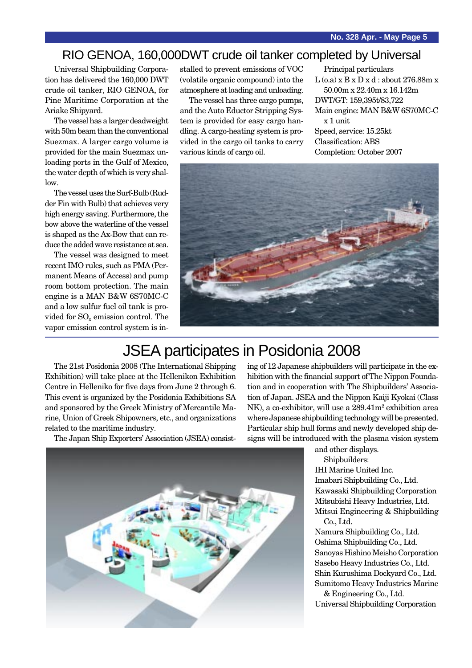### RIO GENOA, 160,000DWT crude oil tanker completed by Universal

Universal Shipbuilding Corporation has delivered the 160,000 DWT crude oil tanker, RIO GENOA, for Pine Maritime Corporation at the Ariake Shipyard.

The vessel has a larger deadweight with 50m beam than the conventional Suezmax. A larger cargo volume is provided for the main Suezmax unloading ports in the Gulf of Mexico, the water depth of which is very shallow.

The vessel uses the Surf-Bulb (Rudder Fin with Bulb) that achieves very high energy saving. Furthermore, the bow above the waterline of the vessel is shaped as the Ax-Bow that can reduce the added wave resistance at sea.

The vessel was designed to meet recent IMO rules, such as PMA (Permanent Means of Access) and pump room bottom protection. The main engine is a MAN B&W 6S70MC-C and a low sulfur fuel oil tank is provided for  $SO<sub>x</sub>$  emission control. The vapor emission control system is installed to prevent emissions of VOC (volatile organic compound) into the atmosphere at loading and unloading.

The vessel has three cargo pumps, and the Auto Eductor Stripping System is provided for easy cargo handling. A cargo-heating system is provided in the cargo oil tanks to carry various kinds of cargo oil.

Principal particulars  $L$  (o.a)  $x B x D x d$ : about 276.88m  $x$ 50.00m x 22.40m x 16.142m DWT/GT: 159,395t/83,722 Main engine: MAN B&W 6S70MC-C x 1 unit Speed, service: 15.25kt Classification: ABS Completion: October 2007



# JSEA participates in Posidonia 2008

The 21st Posidonia 2008 (The International Shipping Exhibition) will take place at the Hellenikon Exhibition Centre in Helleniko for five days from June 2 through 6. This event is organized by the Posidonia Exhibitions SA and sponsored by the Greek Ministry of Mercantile Marine, Union of Greek Shipowners, etc., and organizations related to the maritime industry.

The Japan Ship Exporters' Association (JSEA) consist-



ing of 12 Japanese shipbuilders will participate in the exhibition with the financial support of The Nippon Foundation and in cooperation with The Shipbuilders' Association of Japan. JSEA and the Nippon Kaiji Kyokai (Class NK), a co-exhibitor, will use a  $289.41\mathrm{m}^2$  exhibition area where Japanese shipbuilding technology will be presented. Particular ship hull forms and newly developed ship designs will be introduced with the plasma vision system

and other displays.

Shipbuilders: IHI Marine United Inc. Imabari Shipbuilding Co., Ltd. Kawasaki Shipbuilding Corporation Mitsubishi Heavy Industries, Ltd. Mitsui Engineering & Shipbuilding Co., Ltd.

Namura Shipbuilding Co., Ltd. Oshima Shipbuilding Co., Ltd. Sanoyas Hishino Meisho Corporation Sasebo Heavy Industries Co., Ltd. Shin Kurushima Dockyard Co., Ltd. Sumitomo Heavy Industries Marine

& Engineering Co., Ltd. Universal Shipbuilding Corporation